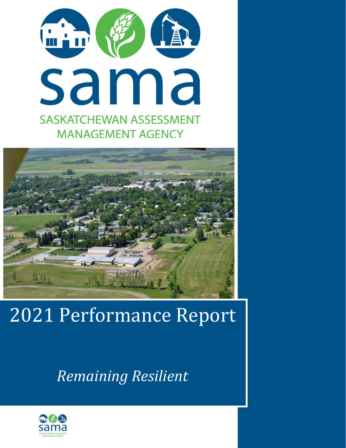



# 2021 Performance Report

*Remaining Resilient*

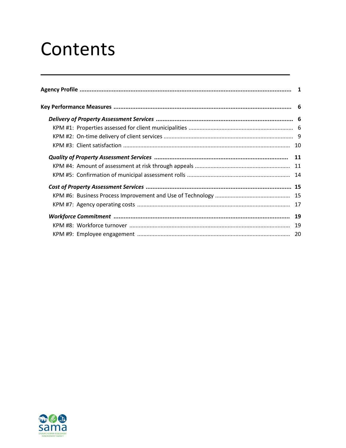## Contents

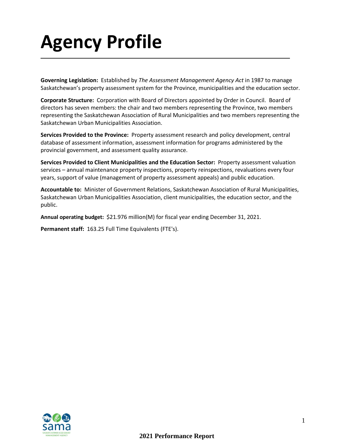# **Agency Profile**

**Governing Legislation:** Established by *The Assessment Management Agency Act* in 1987 to manage Saskatchewan's property assessment system for the Province, municipalities and the education sector.

**Corporate Structure:** Corporation with Board of Directors appointed by Order in Council. Board of directors has seven members: the chair and two members representing the Province, two members representing the Saskatchewan Association of Rural Municipalities and two members representing the Saskatchewan Urban Municipalities Association.

**Services Provided to the Province:** Property assessment research and policy development, central database of assessment information, assessment information for programs administered by the provincial government, and assessment quality assurance.

**Services Provided to Client Municipalities and the Education Sector:** Property assessment valuation services – annual maintenance property inspections, property reinspections, revaluations every four years, support of value (management of property assessment appeals) and public education.

**Accountable to:** Minister of Government Relations, Saskatchewan Association of Rural Municipalities, Saskatchewan Urban Municipalities Association, client municipalities, the education sector, and the public.

**Annual operating budget:** \$21.976 million(M) for fiscal year ending December 31, 2021.

**Permanent staff:** 163.25 Full Time Equivalents (FTE's).

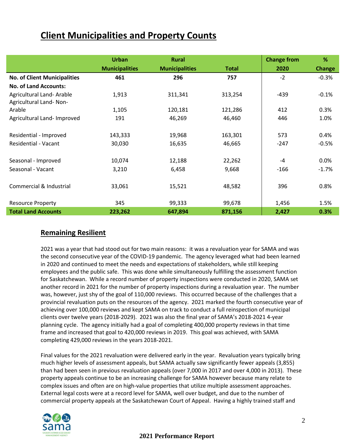### **Client Municipalities and Property Counts**

|                                     | <b>Urban</b>          | <b>Rural</b>          |         | <b>Change from</b> | %             |
|-------------------------------------|-----------------------|-----------------------|---------|--------------------|---------------|
|                                     | <b>Municipalities</b> | <b>Municipalities</b> | Total   | 2020               | <b>Change</b> |
| <b>No. of Client Municipalities</b> | 461                   | 296                   | 757     | $-2$               | $-0.3%$       |
| <b>No. of Land Accounts:</b>        |                       |                       |         |                    |               |
| Agricultural Land- Arable           | 1,913                 | 311,341               | 313,254 | $-439$             | $-0.1%$       |
| Agricultural Land-Non-              |                       |                       |         |                    |               |
| Arable                              | 1,105                 | 120,181               | 121,286 | 412                | 0.3%          |
| Agricultural Land- Improved         | 191                   | 46,269                | 46,460  | 446                | 1.0%          |
| Residential - Improved              | 143,333               | 19,968                | 163,301 | 573                | 0.4%          |
| <b>Residential - Vacant</b>         | 30,030                | 16,635                | 46,665  | $-247$             | $-0.5%$       |
| Seasonal - Improved                 | 10,074                | 12,188                | 22,262  | $-4$               | 0.0%          |
| Seasonal - Vacant                   | 3,210                 | 6,458                 | 9,668   | $-166$             | $-1.7%$       |
|                                     |                       |                       |         |                    |               |
| Commercial & Industrial             | 33,061                | 15,521                | 48,582  | 396                | 0.8%          |
|                                     | 345                   | 99,333                | 99,678  |                    |               |
| <b>Resource Property</b>            |                       |                       |         | 1,456              | 1.5%          |
| <b>Total Land Accounts</b>          | 223,262               | 647,894               | 871,156 | 2,427              | 0.3%          |

#### **Remaining Resilient**

2021 was a year that had stood out for two main reasons: it was a revaluation year for SAMA and was the second consecutive year of the COVID-19 pandemic. The agency leveraged what had been learned in 2020 and continued to meet the needs and expectations of stakeholders, while still keeping employees and the public safe. This was done while simultaneously fulfilling the assessment function for Saskatchewan. While a record number of property inspections were conducted in 2020, SAMA set another record in 2021 for the number of property inspections during a revaluation year. The number was, however, just shy of the goal of 110,000 reviews. This occurred because of the challenges that a provincial revaluation puts on the resources of the agency. 2021 marked the fourth consecutive year of achieving over 100,000 reviews and kept SAMA on track to conduct a full reinspection of municipal clients over twelve years (2018-2029). 2021 was also the final year of SAMA's 2018-2021 4-year planning cycle. The agency initially had a goal of completing 400,000 property reviews in that time frame and increased that goal to 420,000 reviews in 2019. This goal was achieved, with SAMA completing 429,000 reviews in the years 2018-2021.

Final values for the 2021 revaluation were delivered early in the year. Revaluation years typically bring much higher levels of assessment appeals, but SAMA actually saw significantly fewer appeals (3,855) than had been seen in previous revaluation appeals (over 7,000 in 2017 and over 4,000 in 2013). These property appeals continue to be an increasing challenge for SAMA however because many relate to complex issues and often are on high-value properties that utilize multiple assessment approaches. External legal costs were at a record level for SAMA, well over budget, and due to the number of commercial property appeals at the Saskatchewan Court of Appeal. Having a highly trained staff and

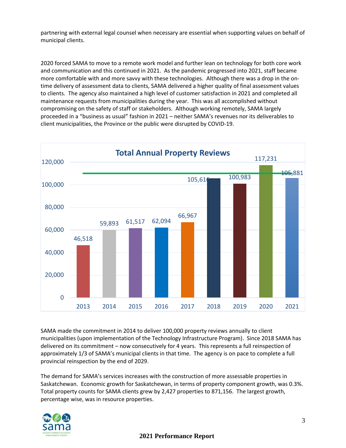partnering with external legal counsel when necessary are essential when supporting values on behalf of municipal clients.

2020 forced SAMA to move to a remote work model and further lean on technology for both core work and communication and this continued in 2021. As the pandemic progressed into 2021, staff became more comfortable with and more savvy with these technologies. Although there was a drop in the ontime delivery of assessment data to clients, SAMA delivered a higher quality of final assessment values to clients. The agency also maintained a high level of customer satisfaction in 2021 and completed all maintenance requests from municipalities during the year. This was all accomplished without compromising on the safety of staff or stakeholders. Although working remotely, SAMA largely proceeded in a "business as usual" fashion in 2021 – neither SAMA's revenues nor its deliverables to client municipalities, the Province or the public were disrupted by COVID-19.



SAMA made the commitment in 2014 to deliver 100,000 property reviews annually to client municipalities (upon implementation of the Technology Infrastructure Program). Since 2018 SAMA has delivered on its commitment – now consecutively for 4 years. This represents a full reinspection of approximately 1/3 of SAMA's municipal clients in that time. The agency is on pace to complete a full provincial reinspection by the end of 2029.

The demand for SAMA's services increases with the construction of more assessable properties in Saskatchewan. Economic growth for Saskatchewan, in terms of property component growth, was 0.3%. Total property counts for SAMA clients grew by 2,427 properties to 871,156. The largest growth, percentage wise, was in resource properties.

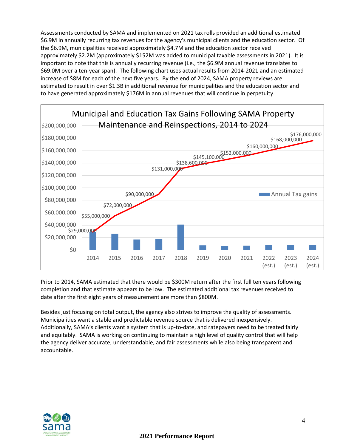Assessments conducted by SAMA and implemented on 2021 tax rolls provided an additional estimated \$6.9M in annually recurring tax revenues for the agency's municipal clients and the education sector. Of the \$6.9M, municipalities received approximately \$4.7M and the education sector received approximately \$2.2M (approximately \$152M was added to municipal taxable assessments in 2021). It is important to note that this is annually recurring revenue (i.e., the \$6.9M annual revenue translates to \$69.0M over a ten-year span). The following chart uses actual results from 2014-2021 and an estimated increase of \$8M for each of the next five years. By the end of 2024, SAMA property reviews are estimated to result in over \$1.3B in additional revenue for municipalities and the education sector and to have generated approximately \$176M in annual revenues that will continue in perpetuity.



Prior to 2014, SAMA estimated that there would be \$300M return after the first full ten years following completion and that estimate appears to be low. The estimated additional tax revenues received to date after the first eight years of measurement are more than \$800M.

Besides just focusing on total output, the agency also strives to improve the quality of assessments. Municipalities want a stable and predictable revenue source that is delivered inexpensively. Additionally, SAMA's clients want a system that is up-to-date, and ratepayers need to be treated fairly and equitably. SAMA is working on continuing to maintain a high level of quality control that will help the agency deliver accurate, understandable, and fair assessments while also being transparent and accountable.

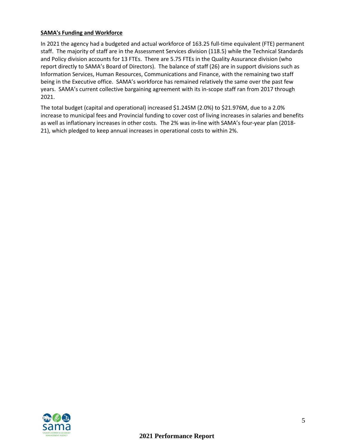#### **SAMA's Funding and Workforce**

In 2021 the agency had a budgeted and actual workforce of 163.25 full-time equivalent (FTE) permanent staff. The majority of staff are in the Assessment Services division (118.5) while the Technical Standards and Policy division accounts for 13 FTEs. There are 5.75 FTEs in the Quality Assurance division (who report directly to SAMA's Board of Directors). The balance of staff (26) are in support divisions such as Information Services, Human Resources, Communications and Finance, with the remaining two staff being in the Executive office. SAMA's workforce has remained relatively the same over the past few years. SAMA's current collective bargaining agreement with its in-scope staff ran from 2017 through 2021.

The total budget (capital and operational) increased \$1.245M (2.0%) to \$21.976M, due to a 2.0% increase to municipal fees and Provincial funding to cover cost of living increases in salaries and benefits as well as inflationary increases in other costs. The 2% was in-line with SAMA's four-year plan (2018- 21), which pledged to keep annual increases in operational costs to within 2%.

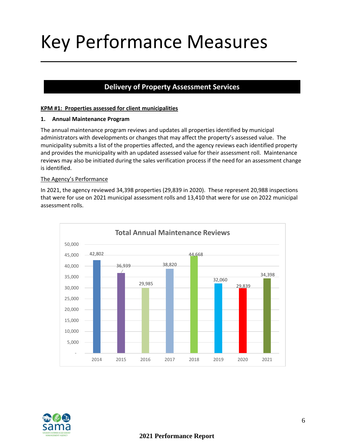# Key Performance Measures

#### **Delivery of Property Assessment Services**

#### **KPM #1: Properties assessed for client municipalities**

#### **1. Annual Maintenance Program**

The annual maintenance program reviews and updates all properties identified by municipal administrators with developments or changes that may affect the property's assessed value. The municipality submits a list of the properties affected, and the agency reviews each identified property and provides the municipality with an updated assessed value for their assessment roll. Maintenance reviews may also be initiated during the sales verification process if the need for an assessment change is identified.

#### The Agency's Performance

In 2021, the agency reviewed 34,398 properties (29,839 in 2020). These represent 20,988 inspections that were for use on 2021 municipal assessment rolls and 13,410 that were for use on 2022 municipal assessment rolls.



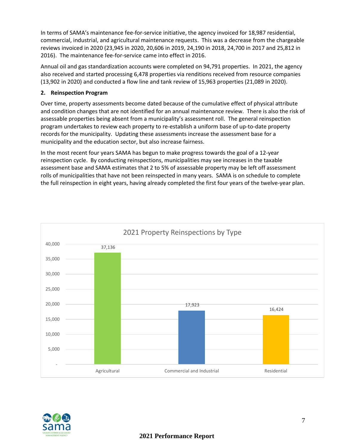In terms of SAMA's maintenance fee-for-service initiative, the agency invoiced for 18,987 residential, commercial, industrial, and agricultural maintenance requests. This was a decrease from the chargeable reviews invoiced in 2020 (23,945 in 2020, 20,606 in 2019, 24,190 in 2018, 24,700 in 2017 and 25,812 in 2016). The maintenance fee-for-service came into effect in 2016.

Annual oil and gas standardization accounts were completed on 94,791 properties. In 2021, the agency also received and started processing 6,478 properties via renditions received from resource companies (13,902 in 2020) and conducted a flow line and tank review of 15,963 properties (21,089 in 2020).

#### **2. Reinspection Program**

Over time, property assessments become dated because of the cumulative effect of physical attribute and condition changes that are not identified for an annual maintenance review. There is also the risk of assessable properties being absent from a municipality's assessment roll. The general reinspection program undertakes to review each property to re-establish a uniform base of up-to-date property records for the municipality. Updating these assessments increase the assessment base for a municipality and the education sector, but also increase fairness.

In the most recent four years SAMA has begun to make progress towards the goal of a 12-year reinspection cycle. By conducting reinspections, municipalities may see increases in the taxable assessment base and SAMA estimates that 2 to 5% of assessable property may be left off assessment rolls of municipalities that have not been reinspected in many years. SAMA is on schedule to complete the full reinspection in eight years, having already completed the first four years of the twelve-year plan.



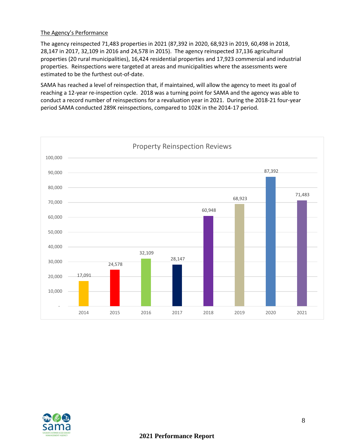#### The Agency's Performance

The agency reinspected 71,483 properties in 2021 (87,392 in 2020, 68,923 in 2019, 60,498 in 2018, 28,147 in 2017, 32,109 in 2016 and 24,578 in 2015). The agency reinspected 37,136 agricultural properties (20 rural municipalities), 16,424 residential properties and 17,923 commercial and industrial properties. Reinspections were targeted at areas and municipalities where the assessments were estimated to be the furthest out-of-date.

SAMA has reached a level of reinspection that, if maintained, will allow the agency to meet its goal of reaching a 12-year re-inspection cycle. 2018 was a turning point for SAMA and the agency was able to conduct a record number of reinspections for a revaluation year in 2021. During the 2018-21 four-year period SAMA conducted 289K reinspections, compared to 102K in the 2014-17 period.



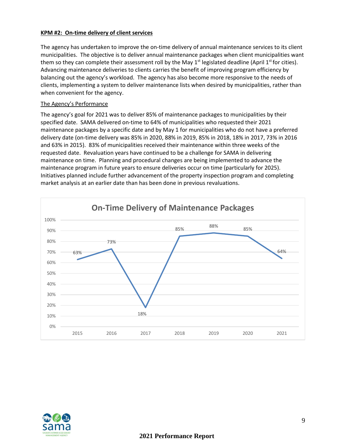#### **KPM #2: On-time delivery of client services**

The agency has undertaken to improve the on-time delivery of annual maintenance services to its client municipalities. The objective is to deliver annual maintenance packages when client municipalities want them so they can complete their assessment roll by the May  $1<sup>st</sup>$  legislated deadline (April  $1<sup>st</sup>$  for cities). Advancing maintenance deliveries to clients carries the benefit of improving program efficiency by balancing out the agency's workload. The agency has also become more responsive to the needs of clients, implementing a system to deliver maintenance lists when desired by municipalities, rather than when convenient for the agency.

#### The Agency's Performance

The agency's goal for 2021 was to deliver 85% of maintenance packages to municipalities by their specified date. SAMA delivered on-time to 64% of municipalities who requested their 2021 maintenance packages by a specific date and by May 1 for municipalities who do not have a preferred delivery date (on-time delivery was 85% in 2020, 88% in 2019, 85% in 2018, 18% in 2017, 73% in 2016 and 63% in 2015). 83% of municipalities received their maintenance within three weeks of the requested date. Revaluation years have continued to be a challenge for SAMA in delivering maintenance on time. Planning and procedural changes are being implemented to advance the maintenance program in future years to ensure deliveries occur on time (particularly for 2025). Initiatives planned include further advancement of the property inspection program and completing market analysis at an earlier date than has been done in previous revaluations.



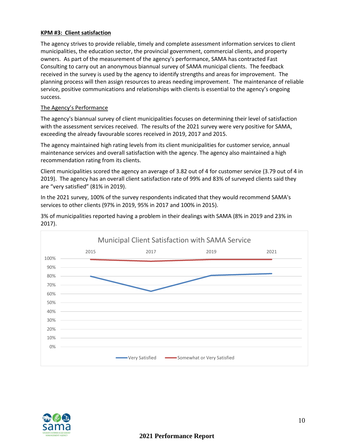#### **KPM #3: Client satisfaction**

The agency strives to provide reliable, timely and complete assessment information services to client municipalities, the education sector, the provincial government, commercial clients, and property owners. As part of the measurement of the agency's performance, SAMA has contracted Fast Consulting to carry out an anonymous biannual survey of SAMA municipal clients. The feedback received in the survey is used by the agency to identify strengths and areas for improvement. The planning process will then assign resources to areas needing improvement. The maintenance of reliable service, positive communications and relationships with clients is essential to the agency's ongoing success.

#### The Agency's Performance

The agency's biannual survey of client municipalities focuses on determining their level of satisfaction with the assessment services received. The results of the 2021 survey were very positive for SAMA, exceeding the already favourable scores received in 2019, 2017 and 2015.

The agency maintained high rating levels from its client municipalities for customer service, annual maintenance services and overall satisfaction with the agency. The agency also maintained a high recommendation rating from its clients.

Client municipalities scored the agency an average of 3.82 out of 4 for customer service (3.79 out of 4 in 2019). The agency has an overall client satisfaction rate of 99% and 83% of surveyed clients said they are "very satisfied" (81% in 2019).

In the 2021 survey, 100% of the survey respondents indicated that they would recommend SAMA's services to other clients (97% in 2019, 95% in 2017 and 100% in 2015).





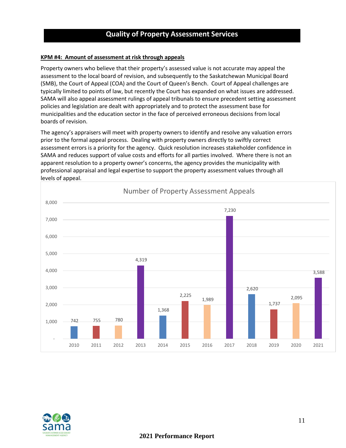#### **Quality of Property Assessment Services**

#### **KPM #4: Amount of assessment at risk through appeals**

Property owners who believe that their property's assessed value is not accurate may appeal the assessment to the local board of revision, and subsequently to the Saskatchewan Municipal Board (SMB), the Court of Appeal (COA) and the Court of Queen's Bench. Court of Appeal challenges are typically limited to points of law, but recently the Court has expanded on what issues are addressed. SAMA will also appeal assessment rulings of appeal tribunals to ensure precedent setting assessment policies and legislation are dealt with appropriately and to protect the assessment base for municipalities and the education sector in the face of perceived erroneous decisions from local boards of revision.

The agency's appraisers will meet with property owners to identify and resolve any valuation errors prior to the formal appeal process. Dealing with property owners directly to swiftly correct assessment errors is a priority for the agency. Quick resolution increases stakeholder confidence in SAMA and reduces support of value costs and efforts for all parties involved. Where there is not an apparent resolution to a property owner's concerns, the agency provides the municipality with professional appraisal and legal expertise to support the property assessment values through all levels of appeal.



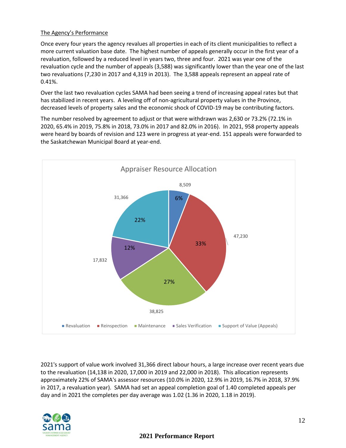#### The Agency's Performance

Once every four years the agency revalues all properties in each of its client municipalities to reflect a more current valuation base date. The highest number of appeals generally occur in the first year of a revaluation, followed by a reduced level in years two, three and four. 2021 was year one of the revaluation cycle and the number of appeals (3,588) was significantly lower than the year one of the last two revaluations (7,230 in 2017 and 4,319 in 2013). The 3,588 appeals represent an appeal rate of 0.41%.

Over the last two revaluation cycles SAMA had been seeing a trend of increasing appeal rates but that has stabilized in recent years. A leveling off of non-agricultural property values in the Province, decreased levels of property sales and the economic shock of COVID-19 may be contributing factors.

The number resolved by agreement to adjust or that were withdrawn was 2,630 or 73.2% (72.1% in 2020, 65.4% in 2019, 75.8% in 2018, 73.0% in 2017 and 82.0% in 2016). In 2021, 958 property appeals were heard by boards of revision and 123 were in progress at year-end. 151 appeals were forwarded to the Saskatchewan Municipal Board at year-end.



2021's support of value work involved 31,366 direct labour hours, a large increase over recent years due to the revaluation (14,138 in 2020, 17,000 in 2019 and 22,000 in 2018). This allocation represents approximately 22% of SAMA's assessor resources (10.0% in 2020, 12.9% in 2019, 16.7% in 2018, 37.9% in 2017, a revaluation year). SAMA had set an appeal completion goal of 1.40 completed appeals per day and in 2021 the completes per day average was 1.02 (1.36 in 2020, 1.18 in 2019).

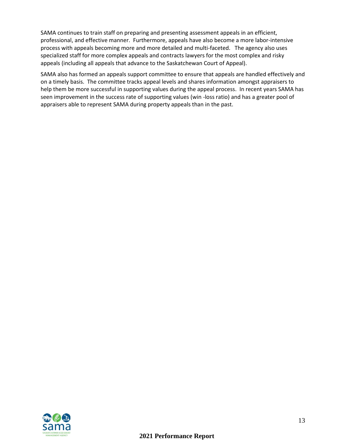SAMA continues to train staff on preparing and presenting assessment appeals in an efficient, professional, and effective manner. Furthermore, appeals have also become a more labor-intensive process with appeals becoming more and more detailed and multi-faceted. The agency also uses specialized staff for more complex appeals and contracts lawyers for the most complex and risky appeals (including all appeals that advance to the Saskatchewan Court of Appeal).

SAMA also has formed an appeals support committee to ensure that appeals are handled effectively and on a timely basis. The committee tracks appeal levels and shares information amongst appraisers to help them be more successful in supporting values during the appeal process. In recent years SAMA has seen improvement in the success rate of supporting values (win -loss ratio) and has a greater pool of appraisers able to represent SAMA during property appeals than in the past.

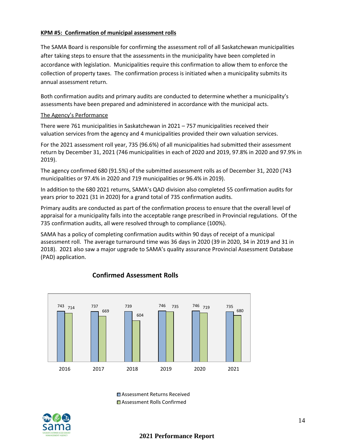#### **KPM #5: Confirmation of municipal assessment rolls**

The SAMA Board is responsible for confirming the assessment roll of all Saskatchewan municipalities after taking steps to ensure that the assessments in the municipality have been completed in accordance with legislation. Municipalities require this confirmation to allow them to enforce the collection of property taxes. The confirmation process is initiated when a municipality submits its annual assessment return.

Both confirmation audits and primary audits are conducted to determine whether a municipality's assessments have been prepared and administered in accordance with the municipal acts.

#### The Agency's Performance

There were 761 municipalities in Saskatchewan in 2021 – 757 municipalities received their valuation services from the agency and 4 municipalities provided their own valuation services.

For the 2021 assessment roll year, 735 (96.6%) of all municipalities had submitted their assessment return by December 31, 2021 (746 municipalities in each of 2020 and 2019, 97.8% in 2020 and 97.9% in 2019).

The agency confirmed 680 (91.5%) of the submitted assessment rolls as of December 31, 2020 (743 municipalities or 97.4% in 2020 and 719 municipalities or 96.4% in 2019).

In addition to the 680 2021 returns, SAMA's QAD division also completed 55 confirmation audits for years prior to 2021 (31 in 2020) for a grand total of 735 confirmation audits.

Primary audits are conducted as part of the confirmation process to ensure that the overall level of appraisal for a municipality falls into the acceptable range prescribed in Provincial regulations. Of the 735 confirmation audits, all were resolved through to compliance (100%).

SAMA has a policy of completing confirmation audits within 90 days of receipt of a municipal assessment roll. The average turnaround time was 36 days in 2020 (39 in 2020, 34 in 2019 and 31 in 2018). 2021 also saw a major upgrade to SAMA's quality assurance Provincial Assessment Database (PAD) application.



#### **Confirmed Assessment Rolls**

■Assessment Returns Received ■ Assessment Rolls Confirmed

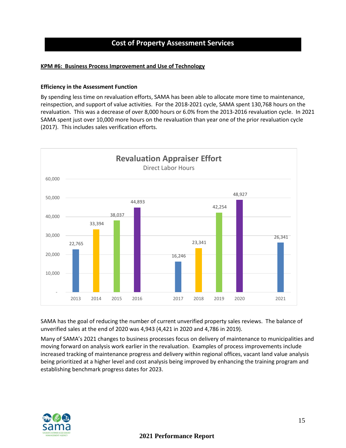#### **Cost of Property Assessment Services**

#### **KPM #6: Business Process Improvement and Use of Technology**

#### **Efficiency in the Assessment Function**

By spending less time on revaluation efforts, SAMA has been able to allocate more time to maintenance, reinspection, and support of value activities. For the 2018-2021 cycle, SAMA spent 130,768 hours on the revaluation. This was a decrease of over 8,000 hours or 6.0% from the 2013-2016 revaluation cycle. In 2021 SAMA spent just over 10,000 more hours on the revaluation than year one of the prior revaluation cycle (2017). This includes sales verification efforts.



SAMA has the goal of reducing the number of current unverified property sales reviews. The balance of unverified sales at the end of 2020 was 4,943 (4,421 in 2020 and 4,786 in 2019).

Many of SAMA's 2021 changes to business processes focus on delivery of maintenance to municipalities and moving forward on analysis work earlier in the revaluation. Examples of process improvements include increased tracking of maintenance progress and delivery within regional offices, vacant land value analysis being prioritized at a higher level and cost analysis being improved by enhancing the training program and establishing benchmark progress dates for 2023.

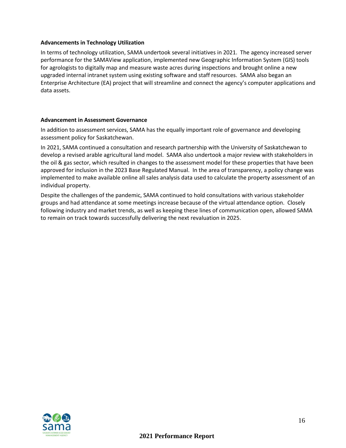#### **Advancements in Technology Utilization**

In terms of technology utilization, SAMA undertook several initiatives in 2021. The agency increased server performance for the SAMAView application, implemented new Geographic Information System (GIS) tools for agrologists to digitally map and measure waste acres during inspections and brought online a new upgraded internal intranet system using existing software and staff resources. SAMA also began an Enterprise Architecture (EA) project that will streamline and connect the agency's computer applications and data assets.

#### **Advancement in Assessment Governance**

In addition to assessment services, SAMA has the equally important role of governance and developing assessment policy for Saskatchewan.

In 2021, SAMA continued a consultation and research partnership with the University of Saskatchewan to develop a revised arable agricultural land model. SAMA also undertook a major review with stakeholders in the oil & gas sector, which resulted in changes to the assessment model for these properties that have been approved for inclusion in the 2023 Base Regulated Manual. In the area of transparency, a policy change was implemented to make available online all sales analysis data used to calculate the property assessment of an individual property.

Despite the challenges of the pandemic, SAMA continued to hold consultations with various stakeholder groups and had attendance at some meetings increase because of the virtual attendance option. Closely following industry and market trends, as well as keeping these lines of communication open, allowed SAMA to remain on track towards successfully delivering the next revaluation in 2025.

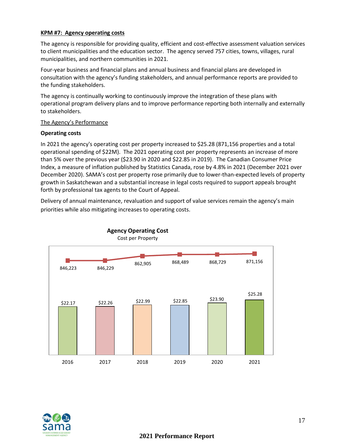#### **KPM #7: Agency operating costs**

The agency is responsible for providing quality, efficient and cost-effective assessment valuation services to client municipalities and the education sector. The agency served 757 cities, towns, villages, rural municipalities, and northern communities in 2021.

Four-year business and financial plans and annual business and financial plans are developed in consultation with the agency's funding stakeholders, and annual performance reports are provided to the funding stakeholders.

The agency is continually working to continuously improve the integration of these plans with operational program delivery plans and to improve performance reporting both internally and externally to stakeholders.

#### The Agency's Performance

#### **Operating costs**

In 2021 the agency's operating cost per property increased to \$25.28 (871,156 properties and a total operational spending of \$22M). The 2021 operating cost per property represents an increase of more than 5% over the previous year (\$23.90 in 2020 and \$22.85 in 2019). The Canadian Consumer Price Index, a measure of inflation published by Statistics Canada, rose by 4.8% in 2021 (December 2021 over December 2020). SAMA's cost per property rose primarily due to lower-than-expected levels of property growth in Saskatchewan and a substantial increase in legal costs required to support appeals brought forth by professional tax agents to the Court of Appeal.

Delivery of annual maintenance, revaluation and support of value services remain the agency's main priorities while also mitigating increases to operating costs.



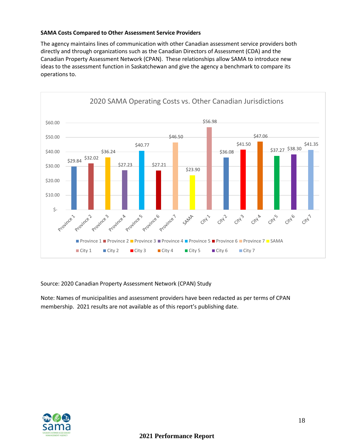#### **SAMA Costs Compared to Other Assessment Service Providers**

The agency maintains lines of communication with other Canadian assessment service providers both directly and through organizations such as the Canadian Directors of Assessment (CDA) and the Canadian Property Assessment Network (CPAN). These relationships allow SAMA to introduce new ideas to the assessment function in Saskatchewan and give the agency a benchmark to compare its operations to.



Source: 2020 Canadian Property Assessment Network (CPAN) Study

Note: Names of municipalities and assessment providers have been redacted as per terms of CPAN membership. 2021 results are not available as of this report's publishing date.

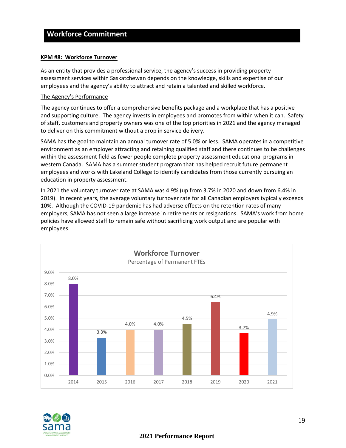#### **Workforce Commitment**

#### **KPM #8: Workforce Turnover**

As an entity that provides a professional service, the agency's success in providing property assessment services within Saskatchewan depends on the knowledge, skills and expertise of our employees and the agency's ability to attract and retain a talented and skilled workforce.

#### The Agency's Performance

The agency continues to offer a comprehensive benefits package and a workplace that has a positive and supporting culture. The agency invests in employees and promotes from within when it can. Safety of staff, customers and property owners was one of the top priorities in 2021 and the agency managed to deliver on this commitment without a drop in service delivery.

SAMA has the goal to maintain an annual turnover rate of 5.0% or less. SAMA operates in a competitive environment as an employer attracting and retaining qualified staff and there continues to be challenges within the assessment field as fewer people complete property assessment educational programs in western Canada. SAMA has a summer student program that has helped recruit future permanent employees and works with Lakeland College to identify candidates from those currently pursuing an education in property assessment.

In 2021 the voluntary turnover rate at SAMA was 4.9% (up from 3.7% in 2020 and down from 6.4% in 2019). In recent years, the average voluntary turnover rate for all Canadian employers typically exceeds 10%. Although the COVID-19 pandemic has had adverse effects on the retention rates of many employers, SAMA has not seen a large increase in retirements or resignations. SAMA's work from home policies have allowed staff to remain safe without sacrificing work output and are popular with employees.



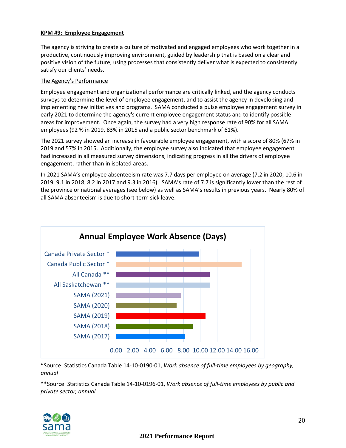#### **KPM #9: Employee Engagement**

The agency is striving to create a culture of motivated and engaged employees who work together in a productive, continuously improving environment, guided by leadership that is based on a clear and positive vision of the future, using processes that consistently deliver what is expected to consistently satisfy our clients' needs.

#### The Agency's Performance

Employee engagement and organizational performance are critically linked, and the agency conducts surveys to determine the level of employee engagement, and to assist the agency in developing and implementing new initiatives and programs. SAMA conducted a pulse employee engagement survey in early 2021 to determine the agency's current employee engagement status and to identify possible areas for improvement. Once again, the survey had a very high response rate of 90% for all SAMA employees (92 % in 2019, 83% in 2015 and a public sector benchmark of 61%).

The 2021 survey showed an increase in favourable employee engagement, with a score of 80% (67% in 2019 and 57% in 2015. Additionally, the employee survey also indicated that employee engagement had increased in all measured survey dimensions, indicating progress in all the drivers of employee engagement, rather than in isolated areas.

In 2021 SAMA's employee absenteeism rate was 7.7 days per employee on average (7.2 in 2020, 10.6 in 2019, 9.1 in 2018, 8.2 in 2017 and 9.3 in 2016). SAMA's rate of 7.7 is significantly lower than the rest of the province or national averages (see below) as well as SAMA's results in previous years. Nearly 80% of all SAMA absenteeism is due to short-term sick leave.



\*Source: Statistics Canada Table 14-10-0190-01, *Work absence of full-time employees by geography, annual*

\*\*Source: Statistics Canada Table 14-10-0196-01, *Work absence of full-time employees by public and private sector, annual*

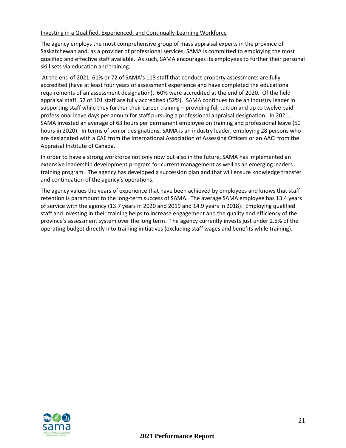#### Investing in a Qualified, Experienced, and Continually-Learning Workforce

The agency employs the most comprehensive group of mass appraisal experts in the province of Saskatchewan and, as a provider of professional services, SAMA is committed to employing the most qualified and effective staff available. As such, SAMA encourages its employees to further their personal skill sets via education and training.

At the end of 2021, 61% or 72 of SAMA's 118 staff that conduct property assessments are fully accredited (have at least four years of assessment experience and have completed the educational requirements of an assessment designation). 60% were accredited at the end of 2020. Of the field appraisal staff, 52 of 101 staff are fully accredited (52%). SAMA continues to be an industry leader in supporting staff while they further their career training – providing full tuition and up to twelve paid professional leave days per annum for staff pursuing a professional appraisal designation. In 2021, SAMA invested an average of 63 hours per permanent employee on training and professional leave (50 hours in 2020). In terms of senior designations, SAMA is an industry leader, employing 28 persons who are designated with a CAE from the International Association of Assessing Officers or an AACI from the Appraisal Institute of Canada.

In order to have a strong workforce not only now but also in the future, SAMA has implemented an extensive leadership development program for current management as well as an emerging leaders training program. The agency has developed a succession plan and that will ensure knowledge transfer and continuation of the agency's operations.

The agency values the years of experience that have been achieved by employees and knows that staff retention is paramount to the long-term success of SAMA. The average SAMA employee has 13.4 years of service with the agency (13.7 years in 2020 and 2019 and 14.9 years in 2018). Employing qualified staff and investing in their training helps to increase engagement and the quality and efficiency of the province's assessment system over the long term. The agency currently invests just under 2.5% of the operating budget directly into training initiatives (excluding staff wages and benefits while training).